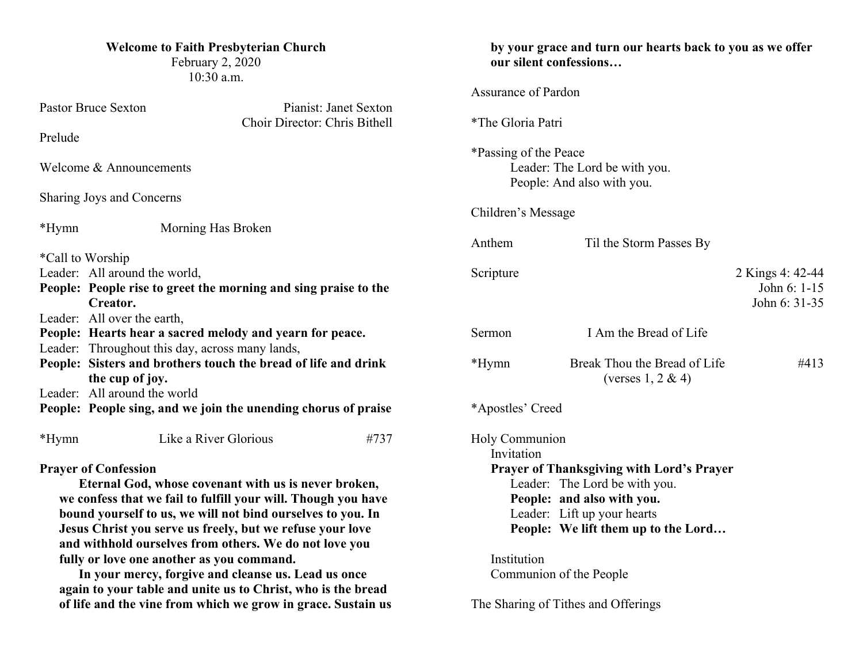| <b>Welcome to Faith Presbyterian Church</b><br>February 2, 2020<br>10:30 a.m.                                                                                                                                                                                                                                                              |                                                                 |                     | by your grace and turn our hearts back to you as we offer<br>our silent confessions                                                                                                   |                                                       |                                                   |
|--------------------------------------------------------------------------------------------------------------------------------------------------------------------------------------------------------------------------------------------------------------------------------------------------------------------------------------------|-----------------------------------------------------------------|---------------------|---------------------------------------------------------------------------------------------------------------------------------------------------------------------------------------|-------------------------------------------------------|---------------------------------------------------|
| <b>Pastor Bruce Sexton</b><br>Pianist: Janet Sexton                                                                                                                                                                                                                                                                                        |                                                                 | Assurance of Pardon |                                                                                                                                                                                       |                                                       |                                                   |
| Choir Director: Chris Bithell<br>Prelude                                                                                                                                                                                                                                                                                                   |                                                                 |                     | *The Gloria Patri                                                                                                                                                                     |                                                       |                                                   |
| Welcome & Announcements                                                                                                                                                                                                                                                                                                                    |                                                                 |                     | *Passing of the Peace<br>Leader: The Lord be with you.<br>People: And also with you.                                                                                                  |                                                       |                                                   |
| Sharing Joys and Concerns                                                                                                                                                                                                                                                                                                                  |                                                                 |                     | Children's Message                                                                                                                                                                    |                                                       |                                                   |
| $*Hymn$                                                                                                                                                                                                                                                                                                                                    | Morning Has Broken                                              |                     | Anthem                                                                                                                                                                                | Til the Storm Passes By                               |                                                   |
| *Call to Worship<br>Leader: All around the world,<br>Creator.                                                                                                                                                                                                                                                                              | People: People rise to greet the morning and sing praise to the |                     | Scripture                                                                                                                                                                             |                                                       | 2 Kings 4: 42-44<br>John 6: 1-15<br>John 6: 31-35 |
| Leader: All over the earth,<br>Leader: Throughout this day, across many lands,                                                                                                                                                                                                                                                             | People: Hearts hear a sacred melody and yearn for peace.        |                     | Sermon                                                                                                                                                                                | I Am the Bread of Life                                |                                                   |
| People: Sisters and brothers touch the bread of life and drink<br>the cup of joy.                                                                                                                                                                                                                                                          |                                                                 |                     | *Hymn                                                                                                                                                                                 | Break Thou the Bread of Life<br>(verses $1, 2 \& 4$ ) | #413                                              |
| Leader: All around the world<br>People: People sing, and we join the unending chorus of praise                                                                                                                                                                                                                                             |                                                                 |                     | *Apostles' Creed                                                                                                                                                                      |                                                       |                                                   |
| $*Hymn$                                                                                                                                                                                                                                                                                                                                    | Like a River Glorious                                           | #737                | Holy Communion<br>Invitation                                                                                                                                                          |                                                       |                                                   |
| <b>Prayer of Confession</b><br>Eternal God, whose covenant with us is never broken,<br>we confess that we fail to fulfill your will. Though you have<br>bound yourself to us, we will not bind ourselves to you. In<br>Jesus Christ you serve us freely, but we refuse your love<br>and withhold ourselves from others. We do not love you |                                                                 |                     | <b>Prayer of Thanksgiving with Lord's Prayer</b><br>Leader: The Lord be with you.<br>People: and also with you.<br>Leader: Lift up your hearts<br>People: We lift them up to the Lord |                                                       |                                                   |

**fully or love one another as you command.**

**In your mercy, forgive and cleanse us. Lead us once again to your table and unite us to Christ, who is the bread of life and the vine from which we grow in grace. Sustain us**  Institution Communion of the People

The Sharing of Tithes and Offerings